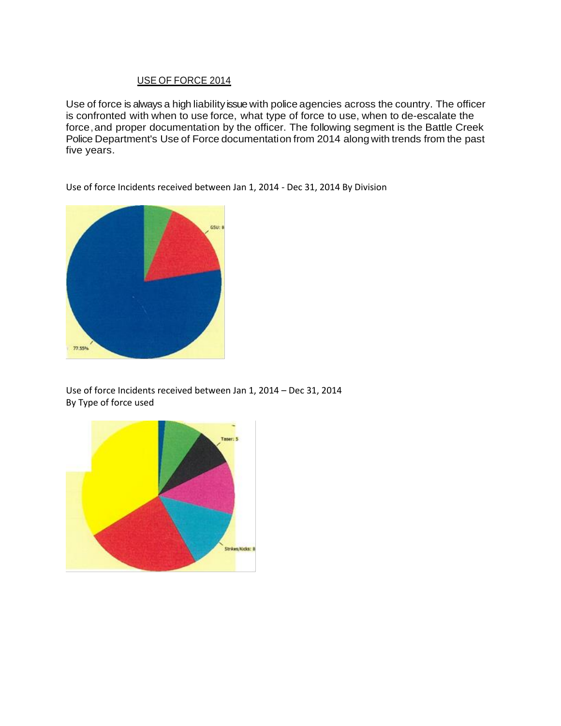# USE OF FORCE 2014

Use of force is always a high liability issue with police agencies across the country. The officer is confronted with when to use force, what type of force to use, when to de-escalate the force,and proper documentation by the officer. The following segment is the Battle Creek Police Department's Use of Force documentation from 2014 along with trends from the past five years.

Use of force Incidents received between Jan 1, 2014 - Dec 31, 2014 By Division



Use of force Incidents received between Jan 1, 2014 – Dec 31, 2014 By Type of force used

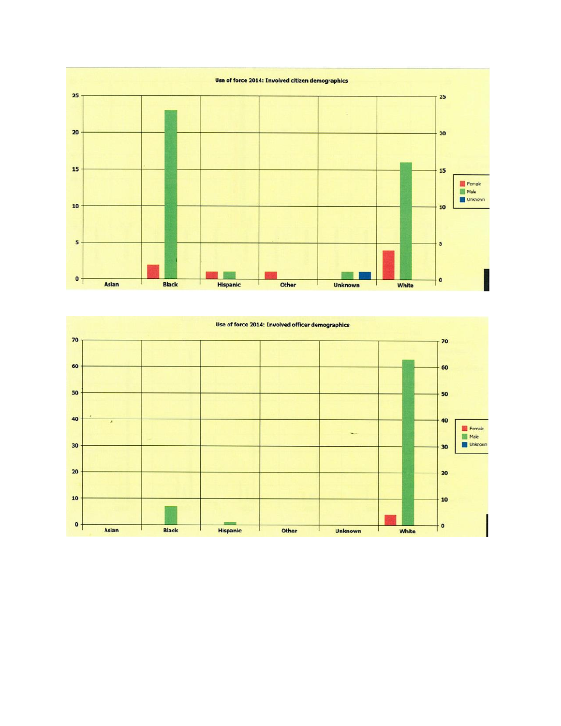

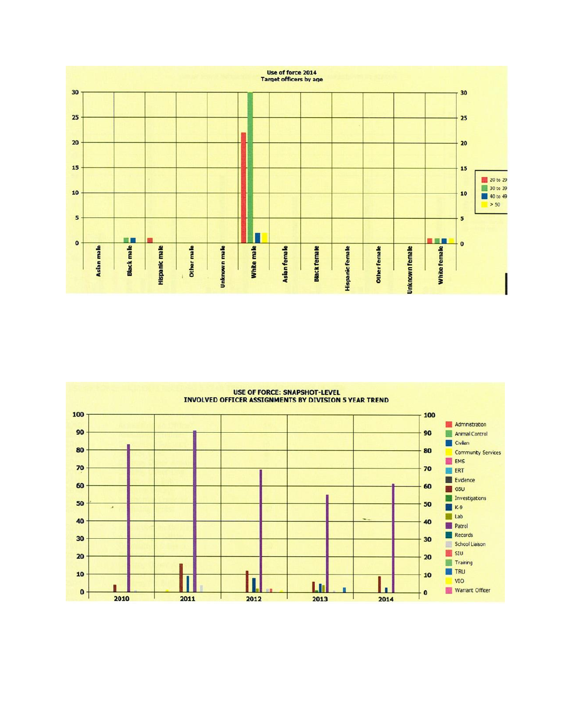

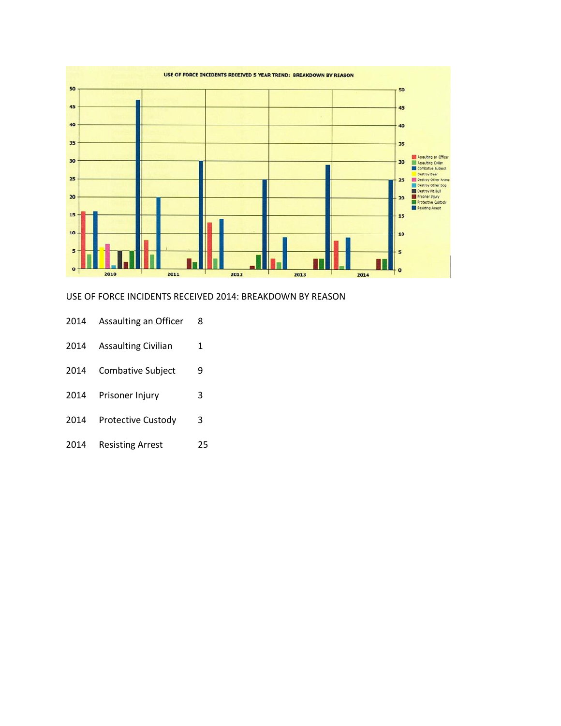

#### USE OF FORCE INCIDENTS RECEIVED 2014: BREAKDOWN BY REASON

- 2014 Assaulting an Officer 8
- 2014 Assaulting Civilian 1
- 2014 Combative Subject 9
- 2014 Prisoner Injury 3
- 2014 Protective Custody 3
- 2014 Resisting Arrest 25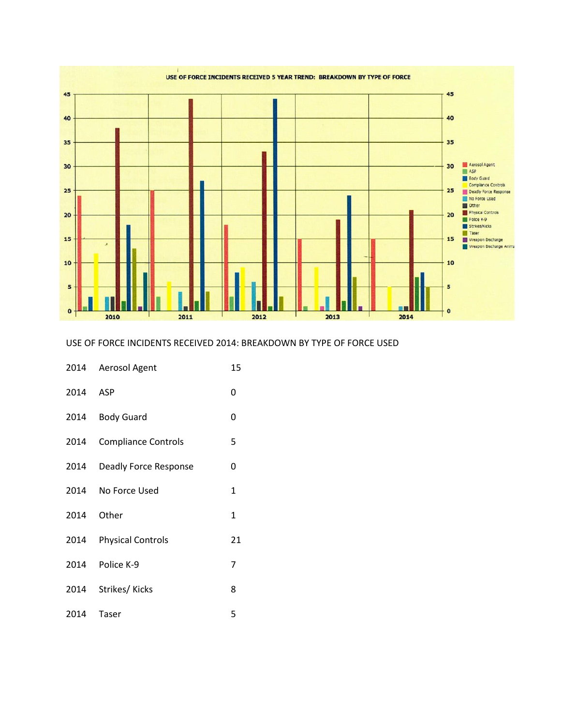

## USE OF FORCE INCIDENTS RECEIVED 2014: BREAKDOWN BY TYPE OF FORCE USED

|          | 2014 Aerosol Agent         | 15 |
|----------|----------------------------|----|
| 2014 ASP |                            | 0  |
|          | 2014 Body Guard            | 0  |
| 2014     | <b>Compliance Controls</b> | 5  |
|          | 2014 Deadly Force Response | 0  |
|          | 2014 No Force Used         | 1  |
| 2014     | Other                      | 1  |
|          | 2014 Physical Controls     | 21 |
|          | 2014 Police K-9            | 7  |
|          | 2014 Strikes/Kicks         | 8  |
| 2014     | Taser                      | 5  |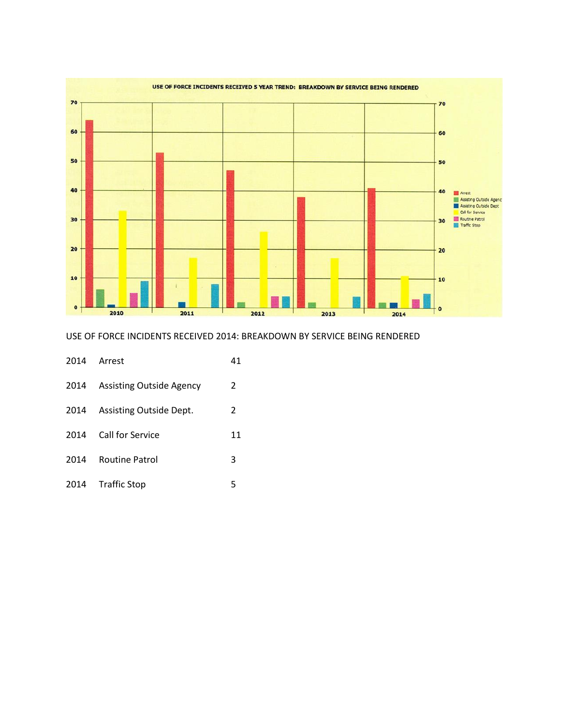

### USE OF FORCE INCIDENTS RECEIVED 2014: BREAKDOWN BY SERVICE BEING RENDERED

|      | 2014 Arrest                     | 41 |
|------|---------------------------------|----|
| 2014 | <b>Assisting Outside Agency</b> | 2  |
| 2014 | Assisting Outside Dept.         | 2  |
| 2014 | Call for Service                | 11 |
| 2014 | <b>Routine Patrol</b>           | 3  |
|      | 2014 Traffic Stop               | 5  |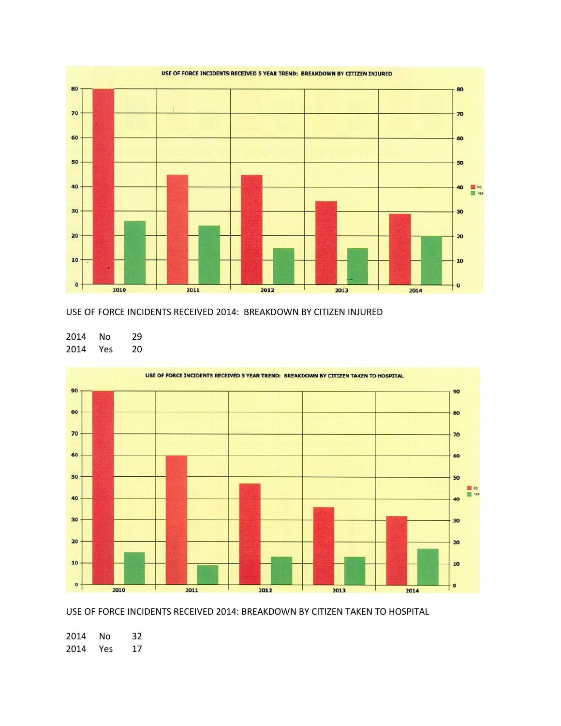

### USE OF FORCE INCIDENTS RECEIVED 2014: BREAKDOWN BY CITIZEN INJURED

 No 29 Yes 20



USE OF FORCE INCIDENTS RECEIVED 2014: BREAKDOWN BY CITIZEN TAKEN TO HOSPITAL

 No 32 Yes 17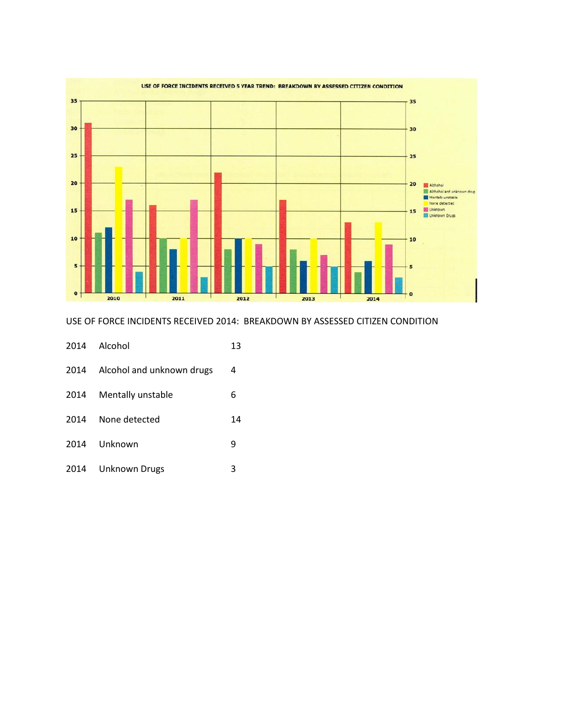

USE OF FORCE INCIDENTS RECEIVED 2014: BREAKDOWN BY ASSESSED CITIZEN CONDITION

|      | 2014 Alcohol              | 13 |
|------|---------------------------|----|
| 2014 | Alcohol and unknown drugs | 4  |
| 2014 | Mentally unstable         | 6  |
| 2014 | None detected             | 14 |
| 2014 | Unknown                   | 9  |
| 2014 | <b>Unknown Drugs</b>      | 3  |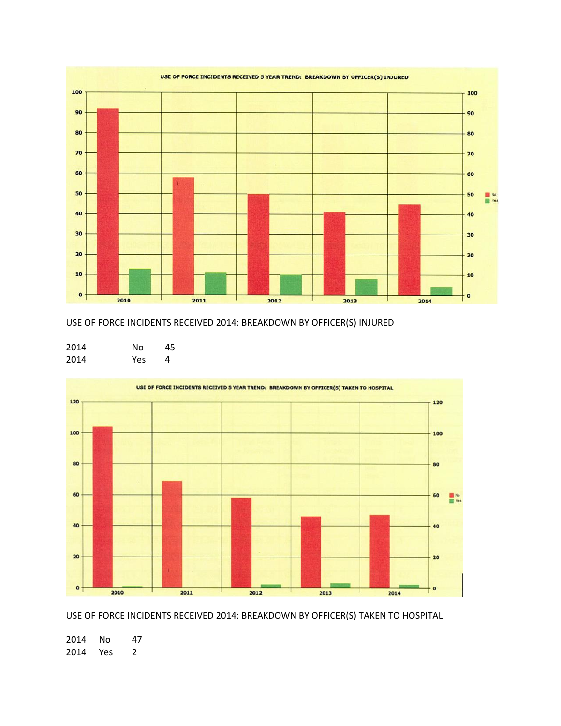

USE OF FORCE INCIDENTS RECEIVED 2014: BREAKDOWN BY OFFICER(S) INJURED

| 2014 | N٥  | 45 |
|------|-----|----|
| 2014 | Yes | 4  |



USE OF FORCE INCIDENTS RECEIVED 2014: BREAKDOWN BY OFFICER(S) TAKEN TO HOSPITAL

 No 47 Yes 2